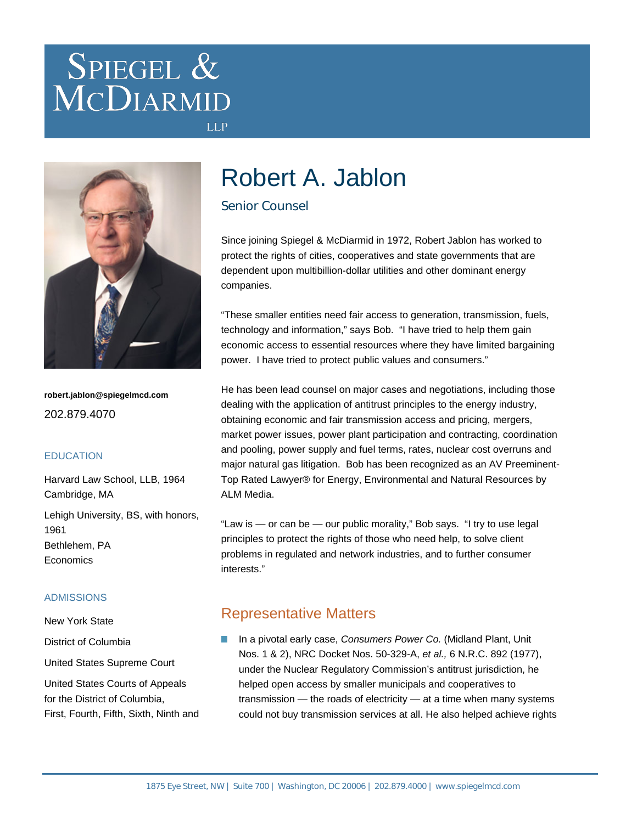# SPIEGEL & MCDIARMID



**robert.jablon@spiegelmcd.com** 202.879.4070

#### **EDUCATION**

Harvard Law School, LLB, 1964 Cambridge, MA Lehigh University, BS, with honors, 1961

Bethlehem, PA **Economics** 

### ADMISSIONS

New York State

District of Columbia

United States Supreme Court

United States Courts of Appeals for the District of Columbia, First, Fourth, Fifth, Sixth, Ninth and

# Robert A. Jablon

## Senior Counsel

**LLP** 

Since joining Spiegel & McDiarmid in 1972, Robert Jablon has worked to protect the rights of cities, cooperatives and state governments that are dependent upon multibillion-dollar utilities and other dominant energy companies.

"These smaller entities need fair access to generation, transmission, fuels, technology and information," says Bob. "I have tried to help them gain economic access to essential resources where they have limited bargaining power. I have tried to protect public values and consumers."

He has been lead counsel on major cases and negotiations, including those dealing with the application of antitrust principles to the energy industry, obtaining economic and fair transmission access and pricing, mergers, market power issues, power plant participation and contracting, coordination and pooling, power supply and fuel terms, rates, nuclear cost overruns and major natural gas litigation. Bob has been recognized as an AV Preeminent-Top Rated Lawyer® for Energy, Environmental and Natural Resources by ALM Media.

"Law is — or can be — our public morality," Bob says. "I try to use legal principles to protect the rights of those who need help, to solve client problems in regulated and network industries, and to further consumer interests."

# Representative Matters

In a pivotal early case, Consumers Power Co. (Midland Plant, Unit Nos. 1 & 2), NRC Docket Nos. 50-329-A, et al., 6 N.R.C. 892 (1977), under the Nuclear Regulatory Commission's antitrust jurisdiction, he helped open access by smaller municipals and cooperatives to transmission — the roads of electricity — at a time when many systems could not buy transmission services at all. He also helped achieve rights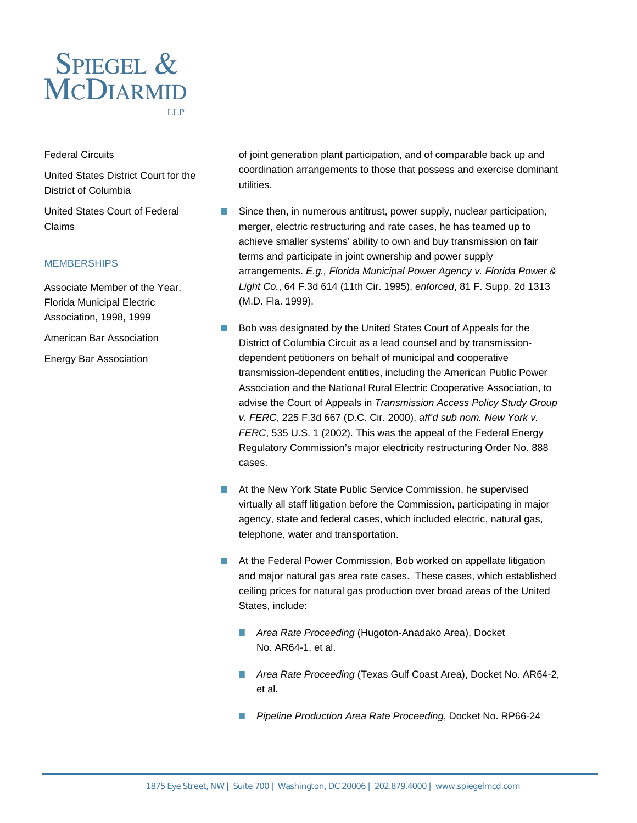

#### Federal Circuits

United States District Court for the District of Columbia

United States Court of Federal Claims

#### **MEMBERSHIPS**

Associate Member of the Year, Florida Municipal Electric Association, 1998, 1999

American Bar Association

Energy Bar Association

of joint generation plant participation, and of comparable back up and coordination arrangements to those that possess and exercise dominant utilities.

- Since then, in numerous antitrust, power supply, nuclear participation, n. merger, electric restructuring and rate cases, he has teamed up to achieve smaller systems' ability to own and buy transmission on fair terms and participate in joint ownership and power supply arrangements. E.g., Florida Municipal Power Agency v. Florida Power & Light Co., 64 F.3d 614 (11th Cir. 1995), enforced, 81 F. Supp. 2d 1313 (M.D. Fla. 1999).
- Bob was designated by the United States Court of Appeals for the  $\overline{\phantom{a}}$ District of Columbia Circuit as a lead counsel and by transmissiondependent petitioners on behalf of municipal and cooperative transmission-dependent entities, including the American Public Power Association and the National Rural Electric Cooperative Association, to advise the Court of Appeals in Transmission Access Policy Study Group v. FERC, 225 F.3d 667 (D.C. Cir. 2000), aff'd sub nom. New York v. FERC, 535 U.S. 1 (2002). This was the appeal of the Federal Energy Regulatory Commission's major electricity restructuring Order No. 888 cases.
- At the New York State Public Service Commission, he supervised virtually all staff litigation before the Commission, participating in major agency, state and federal cases, which included electric, natural gas, telephone, water and transportation.
- At the Federal Power Commission, Bob worked on appellate litigation and major natural gas area rate cases. These cases, which established ceiling prices for natural gas production over broad areas of the United States, include:
	- Area Rate Proceeding (Hugoton-Anadako Area), Docket No. AR64-1, et al.
	- Area Rate Proceeding (Texas Gulf Coast Area), Docket No. AR64-2, et al.
	- **Pipeline Production Area Rate Proceeding, Docket No. RP66-24**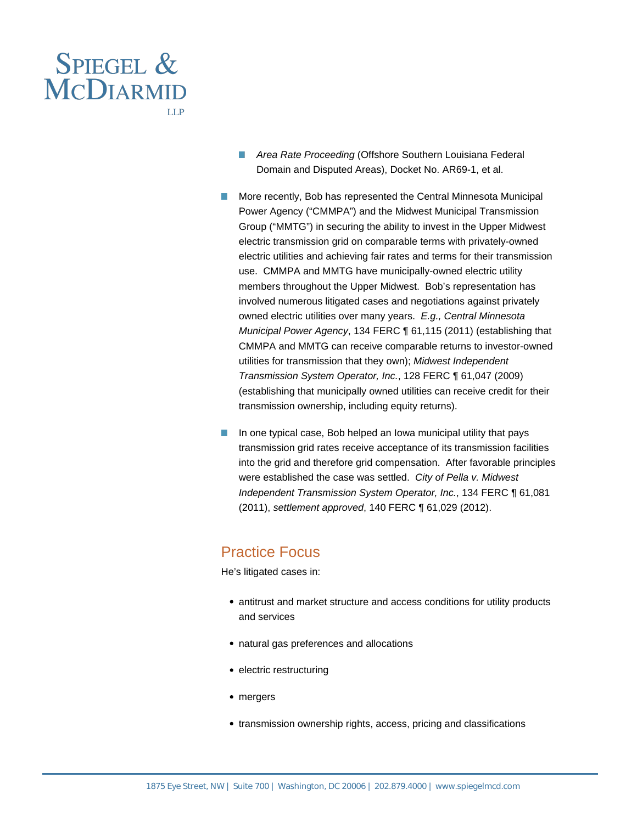

- **Area Rate Proceeding (Offshore Southern Louisiana Federal** Domain and Disputed Areas), Docket No. AR69-1, et al.
- $\overline{\phantom{a}}$ More recently, Bob has represented the Central Minnesota Municipal Power Agency ("CMMPA") and the Midwest Municipal Transmission Group ("MMTG") in securing the ability to invest in the Upper Midwest electric transmission grid on comparable terms with privately-owned electric utilities and achieving fair rates and terms for their transmission use. CMMPA and MMTG have municipally-owned electric utility members throughout the Upper Midwest. Bob's representation has involved numerous litigated cases and negotiations against privately owned electric utilities over many years. E.g., Central Minnesota Municipal Power Agency, 134 FERC ¶ 61,115 (2011) (establishing that CMMPA and MMTG can receive comparable returns to investor-owned utilities for transmission that they own); Midwest Independent Transmission System Operator, Inc., 128 FERC ¶ 61,047 (2009) (establishing that municipally owned utilities can receive credit for their transmission ownership, including equity returns).
- $\vert \cdot \vert$ In one typical case, Bob helped an Iowa municipal utility that pays transmission grid rates receive acceptance of its transmission facilities into the grid and therefore grid compensation. After favorable principles were established the case was settled. City of Pella v. Midwest Independent Transmission System Operator, Inc., 134 FERC ¶ 61,081 (2011), settlement approved, 140 FERC ¶ 61,029 (2012).

# Practice Focus

He's litigated cases in:

- antitrust and market structure and access conditions for utility products and services
- natural gas preferences and allocations
- electric restructuring
- mergers
- transmission ownership rights, access, pricing and classifications